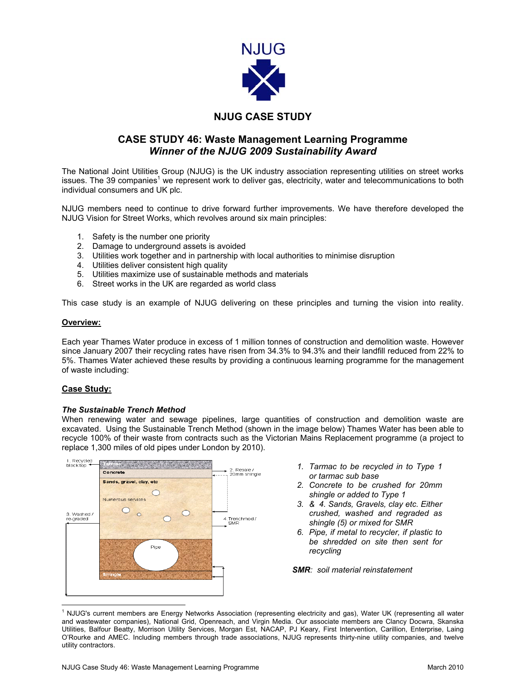

# **NJUG CASE STUDY**

## **CASE STUDY 46: Waste Management Learning Programme**  *Winner of the NJUG 2009 Sustainability Award*

The National Joint Utilities Group (NJUG) is the UK industry association representing utilities on street works issues. The 39 companies<sup>1</sup> we represent work to deliver gas, electricity, water and telecommunications to both individual consumers and UK plc.

NJUG members need to continue to drive forward further improvements. We have therefore developed the NJUG Vision for Street Works, which revolves around six main principles:

- 1. Safety is the number one priority
- 2. Damage to underground assets is avoided
- 3. Utilities work together and in partnership with local authorities to minimise disruption
- 4. Utilities deliver consistent high quality
- 5. Utilities maximize use of sustainable methods and materials
- 6. Street works in the UK are regarded as world class

This case study is an example of NJUG delivering on these principles and turning the vision into reality.

## **Overview:**

Each year Thames Water produce in excess of 1 million tonnes of construction and demolition waste. However since January 2007 their recycling rates have risen from 34.3% to 94.3% and their landfill reduced from 22% to 5%. Thames Water achieved these results by providing a continuous learning programme for the management of waste including:

## **Case Study:**

#### *The Sustainable Trench Method*

When renewing water and sewage pipelines, large quantities of construction and demolition waste are excavated. Using the Sustainable Trench Method (shown in the image below) Thames Water has been able to recycle 100% of their waste from contracts such as the Victorian Mains Replacement programme (a project to replace 1,300 miles of old pipes under London by 2010).



- *1. Tarmac to be recycled in to Type 1 or tarmac sub base*
- *2. Concrete to be crushed for 20mm shingle or added to Type 1*
- *3. & 4. Sands, Gravels, clay etc. Either crushed, washed and regraded as shingle (5) or mixed for SMR*
- *6. Pipe, if metal to recycler, if plastic to be shredded on site then sent for recycling*

*SMR: soil material reinstatement* 

<sup>1</sup> NJUG's current members are Energy Networks Association (representing electricity and gas), Water UK (representing all water and wastewater companies), National Grid, Openreach, and Virgin Media. Our associate members are Clancy Docwra, Skanska Utilities, Balfour Beatty, Morrison Utility Services, Morgan Est, NACAP, PJ Keary, First Intervention, Carillion, Enterprise, Laing O'Rourke and AMEC. Including members through trade associations, NJUG represents thirty-nine utility companies, and twelve utility contractors.